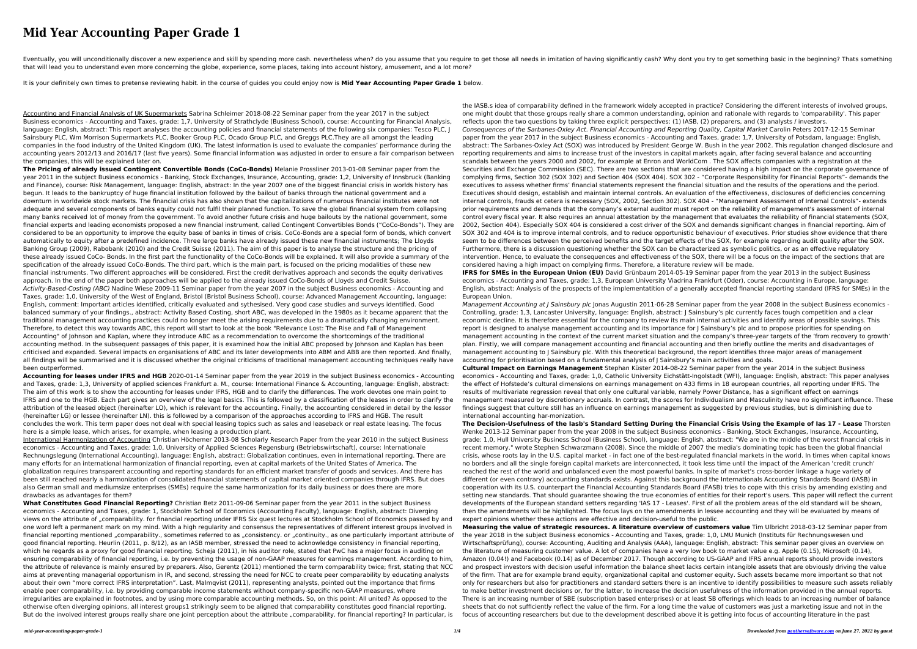# **Mid Year Accounting Paper Grade 1**

Eventually, you will unconditionally discover a new experience and skill by spending more cash. nevertheless when? do you assume that you require to get those all needs in imitation of having significantly cash? Why dont y that will lead you to understand even more concerning the globe, experience, some places, taking into account history, amusement, and a lot more?

It is your definitely own times to pretense reviewing habit. in the course of guides you could enjoy now is **Mid Year Accounting Paper Grade 1** below.

Accounting and Financial Analysis of UK Supermarkets Sabrina Schleimer 2018-08-22 Seminar paper from the year 2017 in the subject Business economics - Accounting and Taxes, grade: 1,7, University of Strathclyde (Business School), course: Accounting for Financial Analysis, language: English, abstract: This report analyses the accounting policies and financial statements of the following six companies: Tesco PLC, J Sainsbury PLC, Wm Morrison Supermarkets PLC, Booker Group PLC, Ocado Group PLC, and Greggs PLC.They are all amongst the leading companies in the food industry of the United Kingdom (UK). The latest information is used to evaluate the companies' performance during the accounting years 2012/13 and 2016/17 (last five years). Some financial information was adjusted in order to ensure a fair comparison between the companies, this will be explained later on.

**The Pricing of already issued Contingent Convertible Bonds (CoCo-Bonds)** Melanie Prossliner 2013-01-08 Seminar paper from the year 2011 in the subject Business economics - Banking, Stock Exchanges, Insurance, Accounting, grade: 1,2, University of Innsbruck (Banking and Finance), course: Risk Management, language: English, abstract: In the year 2007 one of the biggest financial crisis in worlds history has begun. It leads to the bankruptcy of huge financial institution followed by the bailout of banks through the national government and a downturn in worldwide stock markets. The financial crisis has also shown that the capitalizations of numerous financial institutes were not adequate and several components of banks equity could not fulfil their planned function. To save the global financial system from collapsing many banks received lot of money from the government. To avoid another future crisis and huge bailouts by the national government, some financial experts and leading economists proposed a new financial instrument, called Contingent Convertibles Bonds ("CoCo-Bonds"). They are considered to be an opportunity to improve the equity base of banks in times of crisis. CoCo-Bonds are a special form of bonds, which convert automatically to equity after a predefined incidence. Three large banks have already issued these new financial instruments; The Lloyds Banking Group (2009), Rabobank (2010) and the Credit Suisse (2011). The aim of this paper is to analyse the structure and the pricing of these already issued CoCo- Bonds. In the first part the functionality of the CoCo-Bonds will be explained. It will also provide a summary of the specification of the already issued CoCo-Bonds. The third part, which is the main part, is focused on the pricing modalities of these new financial instruments. Two different approaches will be considered. First the credit derivatives approach and seconds the equity derivatives approach. In the end of the paper both approaches will be applied to the already issued CoCo-Bonds of Lloyds and Credit Suisse. Activity-Based-Costing (ABC) Nadine Wiese 2009-11 Seminar paper from the year 2007 in the subject Business economics - Accounting and Taxes, grade: 1,0, University of the West of England, Bristol (Bristol Business School), course: Advanced Management Accounting, language: English, comment: Important articles identified, critically evaluated and sythesised. Very good case studies and surveys identified. Good balanced summary of your findings., abstract: Activity Based Costing, short ABC, was developed in the 1980s as it became apparent that the traditional management accounting practices could no longer meet the arising requirements due to a dramatically changing environment. Therefore, to detect this way towards ABC, this report will start to look at the book "Relevance Lost: The Rise and Fall of Management Accounting" of Johnson and Kaplan, where they introduce ABC as a recommendation to overcome the shortcomings of the traditional accounting method. In the subsequent passages of this paper, it is examined how the initial ABC proposed by Johnson and Kaplan has been criticised and expanded. Several impacts on organisations of ABC and its later developments into ABM and ABB are then reported. And finally, all findings will be summarised and it is discussed whether the original criticisms of traditional management accounting techniques really have been outperformed.

**What Constitutes Good Financial Reporting?** Christian Betz 2011-09-06 Seminar paper from the year 2011 in the subject Business economics - Accounting and Taxes, grade: 1, Stockholm School of Economics (Accounting Faculty), language: English, abstract: Diverging views on the attribute of "comparability. for financial reporting under IFRS Six guest lectures at Stockholm School of Economics passed by and one word left a permanent mark on my mind. With a high regularity and consensus the representatives of different interest groups involved in financial reporting mentioned "comparability., sometimes referred to as "consistency. or "continuity., as one particularly important attribute of good financial reporting. Heurlin (2011, p. 8/12), as an IASB member, stressed the need to acknowledge consistency in financial reporting, which he regards as a proxy for good financial reporting. Scheja (2011), in his auditor role, stated that PwC has a major focus in auditing on ensuring comparability of financial reporting, i.e. by preventing the usage of non-GAAP measures for earnings management. According to him, the attribute of relevance is mainly ensured by preparers. Also, Gerentz (2011) mentioned the term comparability twice; first, stating that NCC aims at preventing managerial opportunism in IR, and second, stressing the need for NCC to create peer comparability by educating analysts about their own "more correct IFRS interpretation". Last, Malmqvist (2011), representing analysts, pointed out the importance that firms enable peer comparability, i.e. by providing comparable income statements without company-specific non-GAAP measures, where irregularities are explained in footnotes, and by using more comparable accounting methods. So, on this point: All united? As opposed to the otherwise often diverging opinions, all interest groups1 strikingly seem to be aligned that comparability constitutes good financial reporting. But do the involved interest groups really share one joint perception about the attribute "comparability. for financial reporting? In particular, is

**Accounting for leases under IFRS and HGB** 2020-01-14 Seminar paper from the year 2019 in the subject Business economics - Accounting and Taxes, grade: 1,3, University of applied sciences Frankfurt a. M., course: International Finance & Accounting, language: English, abstract: The aim of this work is to show the accounting for leases under IFRS, HGB and to clarify the differences. The work devotes one main point to IFRS and one to the HGB. Each part gives an overview of the legal basics. This is followed by a classification of the leases in order to clarify the attribution of the leased object (hereinafter LO), which is relevant for the accounting. Finally, the accounting considered in detail by the lessor (hereinafter LG) or lessee (hereinafter LN). this is followed by a comparison of the approaches according to IFRS and HGB. The result concludes the work. This term paper does not deal with special leasing topics such as sales and leaseback or real estate leasing. The focus here is a simple lease, which arises, for example, when leasing a production plant.

International Harmonization of Accounting Christian Höchemer 2013-08 Scholarly Research Paper from the year 2010 in the subject Business economics - Accounting and Taxes, grade: 1,0, University of Applied Sciences Regensburg (Betriebswirtschaft), course: Internationale Rechnungslegung (International Accounting), language: English, abstract: Globalization continues, even in international reporting. There are many efforts for an international harmonization of financial reporting, even at capital markets of the United States of America. The globalization requires transparent accounting and reporting standards for an efficient market transfer of goods and services. And there has been still reached nearly a harmonization of consolidated financial statements of capital market oriented companies through IFRS. But does also German small and mediumsize enterprises (SMEs) require the same harmonization for its daily business or does there are more drawbacks as advantages for them?

Management Accounting at J Sainsbury plc Jonas Augustin 2011-06-28 Seminar paper from the year 2008 in the subject Business economics -Controlling, grade: 1,3, Lancaster University, language: English, abstract: J Sainsbury's plc currently faces tough competition and a clear economic decline. It is therefore essential for the company to review its main internal activities and identify areas of possible savings. This report is designed to analyse management accounting and its importance for J Sainsbury's plc and to propose priorities for spending on management accounting in the context of the current market situation and the company's three-year targets of the 'from recovery to growth' plan. Firstly, we will compare management accounting and financial accounting and then briefly outline the merits and disadvantages of management accounting to J Sainsbury plc. With this theoretical background, the report identifies three major areas of management accounting for prioritisation based on a fundamental analysis of J Sainsbury's main activities and goals.

the IASB.s idea of comparability defined in the framework widely accepted in practice? Considering the different interests of involved groups, one might doubt that those groups really share a common understanding, opinion and rationale with regards to 'comparability'. This paper reflects upon the two questions by taking three explicit perspectives: (1) IASB, (2) preparers, and (3) analysts / investors.

Consequences of the Sarbanes-Oxley Act. Financial Accounting and Reporting Quality, Capital Market Carolin Peters 2017-12-15 Seminar paper from the year 2017 in the subject Business economics - Accounting and Taxes, grade: 1,7, University of Potsdam, language: English, abstract: The Sarbanes-Oxley Act (SOX) was introduced by President George W. Bush in the year 2002. This regulation changed disclosure and reporting requirements and aims to increase trust of the investors in capital markets again, after facing several balance and accounting scandals between the years 2000 and 2002, for example at Enron and WorldCom . The SOX affects companies with a registration at the Securities and Exchange Commission (SEC). There are two sections that are considered having a high impact on the corporate governance of complying firms, Section 302 (SOX 302) and Section 404 (SOX 404). SOX 302 - "Corporate Responsibility for Financial Reports"- demands the executives to assess whether firms' financial statements represent the financial situation and the results of the operations and the period. Executives should design, establish and maintain internal controls. An evaluation of the effectiveness, disclosures of deficiencies concerning internal controls, frauds et cetera is necessary (SOX, 2002, Section 302). SOX 404 - "Management Assessment of Internal Controls"- extends prior requirements and demands that the company's external auditor must report on the reliability of management's assessment of internal control every fiscal year. It also requires an annual attestation by the management that evaluates the reliability of financial statements (SOX, 2002, Section 404). Especially SOX 404 is considered a cost driver of the SOX and demands significant changes in financial reporting. Aim of SOX 302 and 404 is to improve internal controls, and to reduce opportunistic behaviour of executives. Prior studies show evidence that there seem to be differences between the perceived benefits and the target effects of the SOX, for example regarding audit quality after the SOX. Furthermore, there is a discussion questioning whether the SOX can be characterized as symbolic politics, or as an effective regulatory intervention. Hence, to evaluate the consequences and effectiveness of the SOX, there will be a focus on the impact of the sections that are considered having a high impact on complying firms. Therefore, a literature review will be made.

**IFRS for SMEs in the European Union (EU)** David Grünbaum 2014-05-19 Seminar paper from the year 2013 in the subject Business economics - Accounting and Taxes, grade: 1,3, European University Viadrina Frankfurt (Oder), course: Accounting in Europe, language: English, abstract: Analysis of the prospects of the implementatition of a generally accepted financial reporting standard (IFRS for SMEs) in the

**Cultural Impact on Earnings Management** Stephan Küster 2014-08-22 Seminar paper from the year 2014 in the subject Business economics - Accounting and Taxes, grade: 1,0, Catholic University Eichstätt-Ingolstadt (WFI), language: English, abstract: This paper analyses the effect of Hofstede's cultural dimensions on earnings management on 433 firms in 18 european countries, all reporting under IFRS. The results of multivariate regression reveal that only one cultural variable, namely Power Distance, has a significant effect on earnings management measured by discretionary accruals. In contrast, the scores for Individualism and Masculinity have no significant influence. These findings suggest that culture still has an influence on earnings management as suggested by previous studies, but is diminishing due to international accounting har-monization.

**The Decision-Usefulness of the Iasb's Standard Setting During the Financial Crisis Using the Example of Ias 17 - Lease** Thorsten Wenke 2013-12 Seminar paper from the year 2008 in the subject Business economics - Banking, Stock Exchanges, Insurance, Accounting, grade: 1,0, Hull University Business School (Business School), language: English, abstract: "We are in the middle of the worst financial crisis in recent memory." wrote Stephen Schwarzmann (2008). Since the middle of 2007 the media's dominating topic has been the global financial crisis, whose roots lay in the U.S. capital market - in fact one of the best-regulated financial markets in the world. In times when capital knows no borders and all the single foreign capital markets are interconnected, it took less time until the impact of the American 'credit crunch' reached the rest of the world and unbalanced even the most powerful banks. In spite of market's cross-border linkage a huge variety of different (or even contrary) accounting standards exists. Against this background the Internationals Accounting Standards Board (IASB) in cooperation with its U.S. counterpart the Financial Accounting Standards Board (FASB) tries to cope with this crisis by amending existing and setting new standards. That should guarantee showing the true economies of entities for their report's users. This paper will reflect the current developments of the European standard setters regarding 'IAS 17 - Leases'. First of all the problem areas of the old standard will be shown, then the amendments will be highlighted. The focus lays on the amendments in lessee accounting and they will be evaluated by means of expert opinions whether these actions are effective and decision-useful to the public.

**Measuring the value of strategic resources. A literature overview of customers value** Tim Ulbricht 2018-03-12 Seminar paper from the year 2018 in the subject Business economics - Accounting and Taxes, grade: 1,0, LMU Munich (Instituts für Rechnungswesen und Wirtschaftsprüfung), course: Accounting, Auditing and Analysis (AAA), language: English, abstract: This seminar paper gives an overview on the literature of measuring customer value. A lot of companies have a very low book to market value e.g. Apple (0.15), Microsoft (0.14), Amazon (0.04!) and Facebook (0.14) as of December 2017. Though according to US-GAAP and IFRS annual reports should provide investors and prospect investors with decision useful information the balance sheet lacks certain intangible assets that are obviously driving the value of the firm. That are for example brand equity, organizational capital and customer equity. Such assets became more important so that not only for researchers but also for practitioners and standard setters there is an incentive to identify possibilities to measure such assets reliably to make better investment decisions or, for the latter, to increase the decision usefulness of the information provided in the annual reports. There is an increasing number of SBE (subscription based enterprises) or at least SB offerings which leads to an increasing number of balance sheets that do not sufficiently reflect the value of the firm. For a long time the value of customers was just a marketing issue and not in the focus of accounting researchers but due to the development described above it is getting into focus of accounting literature in the past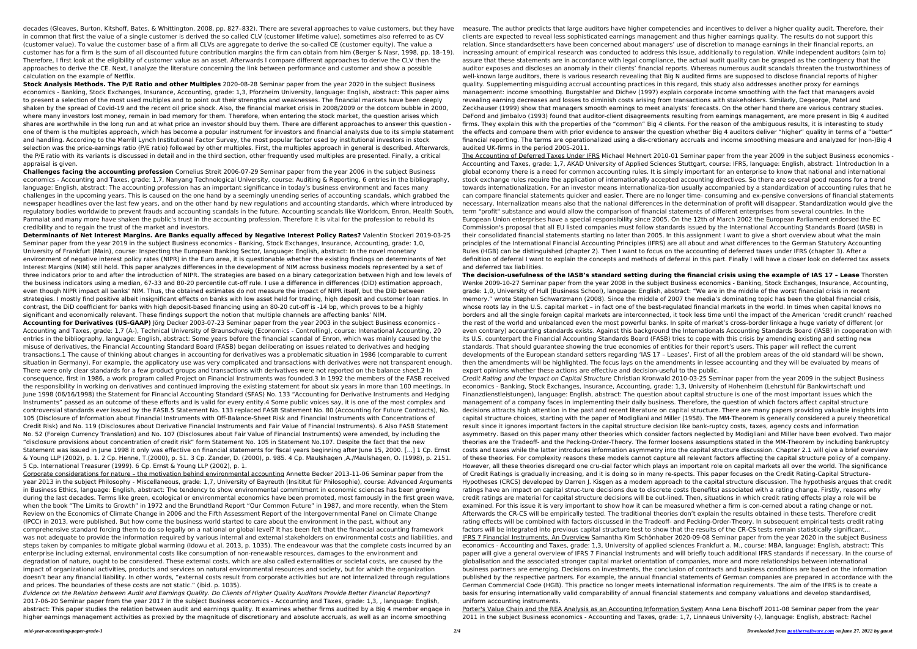decades (Gleaves, Burton, Kitshoff, Bates, & Whittington, 2008, pp. 827–832). There are several approaches to value customers, but they have in common that first the value of a single customer is derived the so called CLV (customer lifetime value), sometimes also referred to as CV (customer value). To value the customer base of a firm all CLVs are aggregate to derive the so-called CE (customer equity). The value a customer has for a firm is the sum of all discounted future contribution margins the firm can obtain from him (Berger & Nasr, 1998, pp. 18–19). Therefore, I first look at the eligibility of customer value as an asset. Afterwards I compare different approaches to derive the CLV then the approaches to derive the CE. Next, I analyze the literature concerning the link between performance and customer and show a possible calculation on the example of Netflix.

**Stock Analysis Methods. The P/E Ratio and other Multiples** 2020-08-28 Seminar paper from the year 2020 in the subject Business economics - Banking, Stock Exchanges, Insurance, Accounting, grade: 1,3, Pforzheim University, language: English, abstract: This paper aims to present a selection of the most used multiples and to point out their strengths and weaknesses. The financial markets have been deeply shaken by the spread of Covid-19 and the recent oil price shock. Also, the financial market crisis in 2008/2009 or the dotcom bubble in 2000, where many investors lost money, remain in bad memory for them. Therefore, when entering the stock market, the question arises which shares are worthwhile in the long run and at what price an investor should buy them. There are different approaches to answer this question one of them is the multiples approach, which has become a popular instrument for investors and financial analysts due to its simple statement and handling. According to the Merrill Lynch Institutional Factor Survey, the most popular factor used by institutional investors in stock selection was the price-earnings ratio (P/E ratio) followed by other multiples. First, the multiples approach in general is described. Afterwards, the P/E ratio with its variants is discussed in detail and in the third section, other frequently used multiples are presented. Finally, a critical appraisal is given.

**Challenges facing the accounting profession** Cornelius Streit 2006-07-29 Seminar paper from the year 2006 in the subject Business economics - Accounting and Taxes, grade: 1,7, Nanyang Technological University, course: Auditing & Reporting, 6 entries in the bibliography, language: English, abstract: The accounting profession has an important significance in today's business environment and faces many challenges in the upcoming years. This is caused on the one hand by a seemingly unending series of accounting scandals, which grabbed the newspaper headlines over the last few years, and on the other hand by new regulations and accounting standards, which where introduced by regulatory bodies worldwide to prevent frauds and accounting scandals in the future. Accounting scandals like Worldcom, Enron, Health South, Parmalat and many more have shaken the public's trust in the accounting profession. Therefore it is vital for the profession to rebuild its credibility and to regain the trust of the market and investors.

**Determinants of Net Interest Margins. Are Banks equally affeced by Negative Interest Policy Rates?** Valentin Stockerl 2019-03-25 Seminar paper from the year 2019 in the subject Business economics - Banking, Stock Exchanges, Insurance, Accounting, grade: 1,0, University of Frankfurt (Main), course: Inspecting the European Banking Sector, language: English, abstract: In the novel monetary environment of negative interest policy rates (NIPR) in the Euro area, it is questionable whether the existing findings on determinants of Net Interest Margins (NIM) still hold. This paper analyzes differences in the development of NIM across business models represented by a set of three indicators prior to and after the introduction of NIPR. The strategies are based on a binary categorization between high and low levels of the business indicators using a median, 67-33 and 80-20 percentile cut-off rule. I use a difference in differences (DiD) estimation approach, even though NIPR impact all banks' NIM. Thus, the obtained estimates do not measure the impact of NIPR itself, but the DiD between strategies. I mostly find positive albeit insignificant effects on banks with low asset held for trading, high deposit and customer loan ratios. In contrast, the DiD coefficient for banks with high deposit-based financing using an 80-20 cut-off is -14 bp, which proves to be a highly significant and economically relevant. These findings support the notion that multiple channels are affecting banks' NIM.

**Accounting for Derivatives (US-GAAP)** Jörg Decker 2003-07-23 Seminar paper from the year 2003 in the subject Business economics - Accounting and Taxes, grade: 1,7 (A-), Technical University of Braunschweig (Economics - Controlling), course: Intenational Accounting, 20 entries in the bibliography, language: English, abstract: Some years before the financial scandal of Enron, which was mainly caused by the misuse of derivatives, the Financial Accounting Standard Board (FASB) began deliberating on issues related to derivatives and hedging transactions.1 The cause of thinking about changes in accounting for derivatives was a problematic situation in 1986 (comparable to current situation in Germany). For example, the applicatory use was very complicated and transactions with derivatives were not transparent enough. There were only clear standards for a few product groups and transactions with derivatives were not reported on the balance sheet.2 In consequence, first in 1986, a work program called Project on Financial Instruments was founded.3 In 1992 the members of the FASB received the responsibility in working on derivatives and continued improving the existing statement for about six years in more than 100 meetings. In June 1998 (06/16/1998) the Statement for Financial Accounting Standard (SFAS) No. 133 "Accounting for Derivative Instruments and Hedging Instruments" passed as an outcome of these efforts and is valid for every entity.4 Some public voices say, it is one of the most complex and controversial standards ever issued by the FASB.5 Statement No. 133 replaced FASB Statement No. 80 (Accounting for Future Contracts), No. 105 (Disclosure of Information about Financial Instruments with Off-Balance-Sheet Risk and Financial Instruments with Concentrations of Credit Risk) and No. 119 (Disclosures about Derivative Financial Instruments and Fair Value of Financial Instruments). 6 Also FASB Statement No. 52 (Foreign Currency Translation) and No. 107 (Disclosures about Fair Value of Financial Instruments) were amended, by including the "disclosure provisions about concentration of credit risk" form Statement No. 105 in Statement No.107. Despite the fact that the new Statement was issued in June 1998 it only was effective on financial statements for fiscal years beginning after June 15, 2000. [...] 1 Cp. Ernst & Young LLP (2002), p. 1. 2 Cp. Henne, T.(2000), p. 51. 3 Cp. Zander, D. (2000), p. 985. 4 Cp. Maulshagen ,A./Maulshagen, O. (1998), p. 2151. 5 Cp. International Treasurer (1999). 6 Cp. Ernst & Young LLP (2002), p. 1.

Corporate considerations for nature – the motivation behind environmental accounting Annette Becker 2013-11-06 Seminar paper from the year 2013 in the subject Philosophy - Miscellaneous, grade: 1,7, University of Bayreuth (Insititut für Philosophie), course: Advanced Arguments in Business Ethics, language: English, abstract: The tendency to show environmental commitment in economic sciences has been growing during the last decades. Terms like green, ecological or environmental economics have been promoted, most famously in the first green wave, when the book "The Limits to Growth" in 1972 and the Brundtland Report "Our Common Future" in 1987, and more recently, when the Stern Review on the Economics of Climate Change in 2006 and the Fifth Assessment Report of the Intergovernmental Panel on Climate Change (IPCC) in 2013, were published. But how come the business world started to care about the environment in the past, without any comprehensive standard forcing them to do so legally on a national or global level? It has been felt that the financial accounting framework was not adequate to provide the information required by various internal and external stakeholders on environmental costs and liabilities, and steps taken by companies to mitigate global warming (Idowu et al. 2013, p. 1035). The endeavour was that the complete costs incurred by an enterprise including external, environmental costs like consumption of non-renewable resources, damages to the environment and degradation of nature, ought to be considered. These external costs, which are also called externalities or societal costs, are caused by the impact of organizational activities, products and services on natural environmental resources and society, but for which the organization doesn't bear any financial liability. In other words, "external costs result from corporate activities but are not internalized through regulations and prices. The boundaries of these costs are not static." (ibid. p. 1035).

Evidence on the Relation between Audit and Earnings Quality. Do Clients of Higher Quality Auditors Provide Better Financial Reporting? 2017-06-20 Seminar paper from the year 2017 in the subject Business economics - Accounting and Taxes, grade: 1,3, , language: English, abstract: This paper studies the relation between audit and earnings quality. It examines whether firms audited by a Big 4 member engage in higher earnings management activities as proxied by the magnitude of discretionary and absolute accruals, as well as an income smoothing

*mid-year-accounting-paper-grade-1 2/4 Downloaded from [panthersoftware.com](http://panthersoftware.com) on June 27, 2022 by guest* clients are expected to reveal less sophisticated earnings management and thus higher earnings quality. The results do not support this relation. Since standardsetters have been concerned about managers' use of discretion to manage earnings in their financial reports, an increasing amount of empirical research was conducted to address this issue, additionally to regulation. While independent auditors (aim to) assure that these statements are in accordance with legal compliance, the actual audit quality can be grasped as the contingency that the auditor exposes and discloses an anomaly in their clients' financial reports. Whereas numerous audit scandals threaten the trustworthiness of well-known large auditors, there is various research revealing that Big N audited firms are supposed to disclose financial reports of higher quality. Supplementing misguiding accrual accounting practices in this regard, this study also addresses another proxy for earnings management: income smoothing. Burgstahler and Dichev (1997) explain corporate income smoothing with the fact that managers avoid revealing earning decreases and losses to diminish costs arising from transactions with stakeholders. Similarly, Degeorge, Patel and Zeckhauser (1999) show that managers smooth earnings to meet analysts' forecasts. On the other hand there are various contrary studies. DeFond and Jimbalvo (1993) found that auditor-client disagreements resulting from earnings management, are more present in Big 4 audited firms. They explain this with the properties of the "common" Big 4 clients. For the reason of the ambiguous results, it is interesting to study the effects and compare them with prior evidence to answer the question whether Big 4 auditors deliver "higher" quality in terms of a "better" financial reporting. The terms are operationalized using a dis-cretionary accruals and income smoothing measure and analyzed for (non-)Big 4 audited UK-firms in the period 2005-2011. The Accounting of Deferred Taxes Under IFRS Michael Mehnert 2010-01 Seminar paper from the year 2009 in the subject Business economics - Accounting and Taxes, grade: 1,7, AKAD University of Applied Sciences Stuttgart, course: IFRS, language: English, abstract: 1Introduction In a global economy there is a need for common accounting rules. It is simply important for an enterprise to know that national and international stock exchange rules require the application of internationally accepted accounting directives. So there are several good reasons for a trend towards internationalization. For an investor means internationaliza-tion usually accompanied by a standardization of accounting rules that he can compare financial statements quicker and easier. There are no longer time- consuming and ex-pensive conversions of financial statements necessary. Internalization means also that the national differences in the determination of profit will disappear. Standardization would give the term "profit" substance and would allow the comparison of financial statements of different enterprises from several countries. In the European Union enterprises have a special responsibility since 2005. On the 12th of March 2002 the European Parliament endorsed the EC Commission's proposal that all EU listed companies must follow standards issued by the International Accounting Standards Board (IASB) in their consolidated financial statements starting no later than 2005. In this assignment I want to give a short overview about what the main principles of the International Financial Accounting Principles (IFRS) are all about and what differences to the German Statutory Accounting Rules (HGB) can be distinguished (chapter 2). Then I want to focus on the accounting of deferred taxes under IFRS (chapter 3). After a definition of deferral I want to explain the concepts and methods of deferral in this part. Finally I will have a closer look on deferred tax assets and deferred tax liabilities. **The decision-usefulness of the IASB's standard setting during the financial crisis using the example of IAS 17 – Lease** Thorsten Wenke 2009-10-27 Seminar paper from the year 2008 in the subject Business economics - Banking, Stock Exchanges, Insurance, Accounting, grade: 1,0, University of Hull (Business School), language: English, abstract: "We are in the middle of the worst financial crisis in recent memory." wrote Stephen Schwarzmann (2008). Since the middle of 2007 the media's dominating topic has been the global financial crisis, whose roots lay in the U.S. capital market – in fact one of the best-regulated financial markets in the world. In times when capital knows no borders and all the single foreign capital markets are interconnected, it took less time until the impact of the American 'credit crunch' reached the rest of the world and unbalanced even the most powerful banks. In spite of market's cross-border linkage a huge variety of different (or even contrary) accounting standards exists. Against this background the Internationals Accounting Standards Board (IASB) in cooperation with its U.S. counterpart the Financial Accounting Standards Board (FASB) tries to cope with this crisis by amending existing and setting new standards. That should guarantee showing the true economies of entities for their report's users. This paper will reflect the current developments of the European standard setters regarding 'IAS 17 – Leases'. First of all the problem areas of the old standard will be shown, then the amendments will be highlighted. The focus lays on the amendments in lessee accounting and they will be evaluated by means of expert opinions whether these actions are effective and decision-useful to the public. Credit Rating and the Impact on Capital Structure Christian Kronwald 2010-03-25 Seminar paper from the year 2009 in the subject Business economics - Banking, Stock Exchanges, Insurance, Accounting, grade: 1,3, University of Hohenheim (Lehrstuhl für Bankwirtschaft und Finanzdienstleistungen), language: English, abstract: The question about capital structure is one of the most important issues which the management of a company faces in implementing their daily business. Therefore, the question of which factors affect capital structure decisions attracts high attention in the past and recent literature on capital structure. There are many papers providing valuable insights into capital structure choices, starting with the paper of Modigliani and Miller (1958). The MM-Theorem is generally considered a purely theoretical result since it ignores important factors in the capital structure decision like bank-ruptcy costs, taxes, agency costs and information asymmetry. Based on this paper many other theories which consider factors neglected by Modigliani and Miller have been evolved. Two major theories are the Tradeoff- and the Pecking-Order-Theory. The former loosens assumptions stated in the MM-Theorem by including bankruptcy costs and taxes while the latter introduces information asymmetry into the capital structure discussion. Chapter 2.1 will give a brief overview of these theories. For complexity reasons these models cannot capture all relevant factors affecting the capital structure policy of a company. However, all these theories disregard one cru-cial factor which plays an important role on capital markets all over the world. The significance of Credit Ratings is gradually increasing, and it is doing so in many re-spects. This paper focuses on the Credit Rating-Capital Structure-Hypotheses (CRCS) developed by Darren J. Kisgen as a modern approach to the capital structure discussion. The hypothesis argues that credit ratings have an impact on capital struc-ture decisions due to discrete costs (benefits) associated with a rating change. Firstly, reasons why credit ratings are material for capital structure decisions will be out-lined. Then, situations in which credit rating effects play a role will be examined. For this issue it is very important to show how it can be measured whether a firm is con-cerned about a rating change or not. Afterwards the CR-CS will be empirically tested. The traditional theories don't explain the results obtained in these tests. Therefore credit rating effects will be combined with factors discussed in the Tradeoff- and Pecking-Order-Theory. In subsequent empirical tests credit rating factors will be integrated into previous capital structure test to show that the results of the CR-CS tests remain statistically significant... IFRS 7 Financial Instruments. An Overview Samantha Kim Schönhaber 2020-09-08 Seminar paper from the year 2020 in the subject Business economics - Accounting and Taxes, grade: 1,3, University of applied sciences Frankfurt a. M., course: MBA, language: English, abstract: This paper will give a general overview of IFRS 7 Financial Instruments and will briefly touch additional IFRS standards if necessary. In the course of globalisation and the associated stronger capital market orientation of companies, more and more relationships between international business partners are emerging. Decisions on investments, the conclusion of contracts and business conditions are based on the information published by the respective partners. For example, the annual financial statements of German companies are prepared in accordance with the German Commercial Code (HGB). This practice no longer meets international information requirements. The aim of the IFRS is to create a basis for ensuring internationally valid comparability of annual financial statements and company valuations and develop standardised, uniform accounting instruments. Porter's Value Chain and the REA Analysis as an Accounting Information System Anna Lena Bischoff 2011-08 Seminar paper from the year 2011 in the subject Business economics - Accounting and Taxes, grade: 1,7, Linnaeus University (-), language: English, abstract: Rachel

measure. The author predicts that large auditors have higher competencies and incentives to deliver a higher quality audit. Therefore, their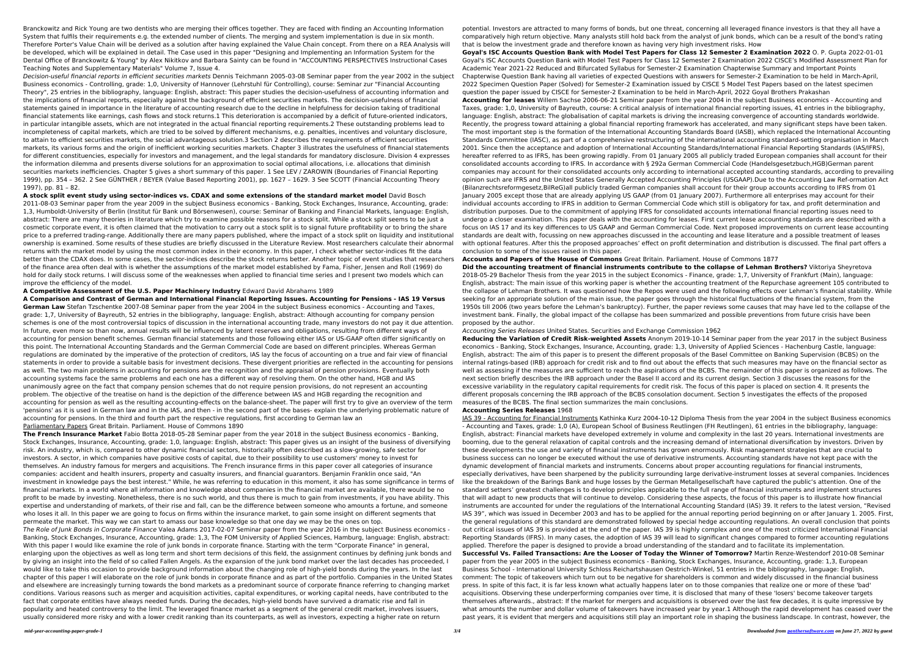Branckowitz and Rick Young are two dentists who are merging their offices together. They are faced with finding an Accounting Information System that fulfils their requirements e.g. the extended number of clients. The merging and system implementation is due in six month. Therefore Porter's Value Chain will be derived as a solution after having explained the Value Chain concept. From there on a REA Analysis will be developed, which will be explained in detail. The Case used in this paper "Designing and Implementing an Information System for the Dental Office of Branckowitz & Young" by Alex Nikitkov and Barbara Sainty can be found in "ACCOUNTING PERSPECTIVES Instructional Cases Teaching Notes and Supplementary Materials" Volume 7, Issue 4.

Decision-useful financial reports in efficient securities markets Dennis Teichmann 2005-03-08 Seminar paper from the year 2002 in the subject Business economics - Controlling, grade: 1,0, University of Hannover (Lehrstuhl für Controlling), course: Seminar zur "Financial Accounting Theory", 25 entries in the bibliography, language: English, abstract: This paper studies the decision-usefulness of accounting information and the implications of financial reports, especially against the background of efficient securities markets. The decision-usefulness of financial statements gained in importance in the literature of accounting research due to the decline in helpfulness for decision taking of traditional financial statements like earnings, cash flows and stock returns.1 This deterioration is accompanied by a deficit of future-oriented indicators, in particular intangible assets, which are not integrated in the actual financial reporting requirements.2 These outstanding problems lead to incompleteness of capital markets, which are tried to be solved by different mechanisms, e.g. penalties, incentives and voluntary disclosure, to attain to efficient securities markets, the social advantageous solution.3 Section 2 describes the requirements of efficient securities markets, its various forms and the origin of inefficient working securities markets. Chapter 3 illustrates the usefulness of financial statements for different constituencies, especially for investors and management, and the legal standards for mandatory disclosure. Division 4 expresses the information dilemma and presents diverse solutions for an approximation to social optimal allocations, i.e. allocations that diminish securities markets inefficiencies. Chapter 5 gives a short summary of this paper. 1 See LEV / ZAROWIN (Boundaries of Financial Reporting 1999), pp. 354 – 362. 2 See GÜNTHER / BEYER (Value Based Reporting 2001), pp. 1627 – 1629. 3 See SCOTT (Financial Accounting Theory 1997), pp. 81 – 82.

**A stock split event study using sector-indices vs. CDAX and some extensions of the standard market model** David Bosch 2011-08-03 Seminar paper from the year 2009 in the subject Business economics - Banking, Stock Exchanges, Insurance, Accounting, grade: 1,3, Humboldt-University of Berlin (Institut für Bank und Börsenwesen), course: Seminar of Banking and Financial Markets, language: English, abstract: There are many theories in literature which try to examine possible reasons for a stock split. While a stock split seems to be just a cosmetic corporate event, it is often claimed that the motivation to carry out a stock split is to signal future profitability or to bring the share price to a preferred trading-range. Additionally there are many papers published, where the impact of a stock split on liquidity and institutional ownership is examined. Some results of these studies are briefly discussed in the Literature Review. Most researchers calculate their abnormal returns with the market model by using the most common index in their economy. In this paper, I check whether sector-indices fit the data better than the CDAX does. In some cases, the sector-indices describe the stock returns better. Another topic of event studies that researchers of the finance area often deal with is whether the assumptions of the market model established by Fama, Fisher, Jensen and Roll (1969) do hold for daily stock returns. I will discuss some of the weaknesses when applied to financial time series and I present two models which can improve the efficiency of the model.

**A Competitive Assessment of the U.S. Paper Machinery Industry** Edward David Abrahams 1989

**A Comparison and Contrast of German and International Financial Reporting Issues. Accounting for Pensions - IAS 19 Versus German Law** Stefan Tzschentke 2007-08 Seminar paper from the year 2004 in the subject Business economics - Accounting and Taxes, grade: 1,7, University of Bayreuth, 52 entries in the bibliography, language: English, abstract: Although accounting for company pension schemes is one of the most controversial topics of discussion in the international accounting trade, many investors do not pay it due attention. In future, even more so than now, annual results will be influenced by latent reserves and obligations, resulting from different ways of accounting for pension benefit schemes. German financial statements and those following either IAS or US-GAAP often differ significantly on this point. The International Accounting Standards and the German Commercial Code are based on different principles. Whereas German regulations are dominated by the imperative of the protection of creditors, IAS lay the focus of accounting on a true and fair view of financial statements in order to provide a suitable basis for investment decisions. These divergent priorities are reflected in the accounting for pensions as well. The two main problems in accounting for pensions are the recognition and the appraisal of pension provisions. Eventually both accounting systems face the same problems and each one has a different way of resolving them. On the other hand, HGB and IAS unanimously agree on the fact that company pension schemes that do not require pension provisions, do not represent an accounting problem. The objective of the treatise on hand is the depiction of the difference between IAS and HGB regarding the recognition and accounting for pension as well as the resulting accounting-effects on the balance-sheet. The paper will first try to give an overview of the term 'pensions' as it is used in German law and in the IAS, and then - in the second part of the bases- explain the underlying problematic nature of accounting for pensions. In the third and fourth part the respective regulations, first according to German law an Parliamentary Papers Great Britain. Parliament. House of Commons 1890

**The French Insurance Market** Fabio Botta 2018-05-28 Seminar paper from the year 2018 in the subject Business economics - Banking, Stock Exchanges, Insurance, Accounting, grade: 1,0, language: English, abstract: This paper gives us an insight of the business of diversifying risk. An industry, which is, compared to other dynamic financial sectors, historically often described as a slow-growing, safe sector for investors. A sector, in which companies have positive costs of capital, due to their possibility to use customers' money to invest for themselves. An industry famous for mergers and acquisitions. The French insurance firms in this paper cover all categories of insurance companies: accident and health insurers, property and casualty insurers, and financial guarantors. Benjamin Franklin once said, "An investment in knowledge pays the best interest." While, he was referring to education in this moment, it also has some significance in terms of financial markets. In a world where all information and knowledge about companies in the financial market are available, there would be no profit to be made by investing. Nonetheless, there is no such world, and thus there is much to gain from investments, if you have ability. This expertise and understanding of markets, of their rise and fall, can be the difference between someone who amounts a fortune, and someone who loses it all. In this paper we are going to focus on firms within the insurance market, to gain some insight on different segments that permeate the market. This way we can start to amass our base knowledge so that one day we may be the ones on top.

The Role of Junk Bonds in Corporate Finance Valea Adams 2017-02-07 Seminar paper from the year 2016 in the subject Business economics - Banking, Stock Exchanges, Insurance, Accounting, grade: 1,3, The FOM University of Applied Sciences, Hamburg, language: English, abstract: With this paper I would like examine the role of junk bonds in corporate finance. Starting with the term "Corporate Finance" in general, enlarging upon the objectives as well as long term and short term decisions of this field, the assignment continues by defining junk bonds and by giving an insight into the field of so called Fallen Angels. As the expansion of the junk bond market over the last decades has proceeded, I would like to take this occasion to provide background information about the changing role of high-yield bonds during the years. In the last chapter of this paper I will elaborate on the role of junk bonds in corporate finance and as part of the portfolio. Companies in the United States and elsewhere are increasingly turning towards the bond markets as a predominant source of corporate finance referring to changing market conditions. Various reasons such as merger and acquisition activities, capital expenditures, or working capital needs, have contributed to the fact that corporate entities have always needed funds. During the decades, high-yield bonds have survived a dramatic rise and fall in popularity and heated controversy to the limit. The leveraged finance market as a segment of the general credit market, involves issuers, usually considered more risky and with a lower credit ranking than its counterparts, as well as investors, expecting a higher rate on return

potential. Investors are attracted to many forms of bonds, but one threat, concerning all leveraged finance investors is that they all have a comparatively high return objective. Many analysts still hold back from the analyst of junk bonds, which can be a result of the bond's rating that is below the investment grade and therefore known as having very high investment risks. How

**Goyal's ISC Accounts Question Bank with Model Test Papers for Class 12 Semester 2 Examination 2022** O. P. Gupta 2022-01-01 Goyal's ISC Accounts Question Bank with Model Test Papers for Class 12 Semester 2 Examination 2022 CISCE's Modified Assessment Plan for Academic Year 2021-22 Reduced and Bifurcated Syllabus for Semester-2 Examination Chapterwise Summary and Important Points Chapterwise Question Bank having all varieties of expected Questions with answers for Semester-2 Examination to be held in March-April, 2022 Specimen Question Paper (Solved) for Semester-2 Examination issued by CISCE 5 Model Test Papers based on the latest specimen question the paper issued by CISCE for Semester-2 Examination to be held in March-April, 2022 Goyal Brothers Prakashan

**Accounting for leases** Willem Sachse 2006-06-21 Seminar paper from the year 2004 in the subject Business economics - Accounting and Taxes, grade: 1,0, University of Bayreuth, course: A critical analysis of international financial reporting issues, 41 entries in the bibliography, language: English, abstract: The globalisation of capital markets is driving the increasing convergence of accounting standards worldwide. Recently, the progress toward attaining a global financial reporting framework has accelerated, and many significant steps have been taken. The most important step is the formation of the International Accounting Standards Board (IASB), which replaced the International Accounting Standards Committee (IASC), as part of a comprehensive restructuring of the international accounting standard-setting organisation in March 2001. Since then the acceptance and adoption of International Accounting Standards/International Financial Reporting Standards (IAS/IFRS), hereafter referred to as IFRS, has been growing rapidly. From 01 January 2005 all publicly traded European companies shall account for their consolidated accounts according to IFRS. In accordance with § 292a German Commercial Code (Handelsgesetzbuch,HGB)German parent companies may account for their consolidated accounts only according to international accepted accounting standards, according to prevailing opinion such are IFRS and the United States Generally Accepted Accounting Principles (USGAAP).Due to the Accounting Law Ref-ormation Act (Bilanzrechtsreformgesetz,BilReG)all publicly traded German companies shall account for their group accounts according to IFRS from 01 January 2005 except those that are already applying US GAAP (from 01 January 2007). Furthermore all enterprises may account for their individual accounts according to IFRS in addition to German Commercial Code which still is obligatory for tax, and profit determination and distribution purposes. Due to the commitment of applying IFRS for consolidated accounts international financial reporting issues need to undergo a closer examination. This paper deals with the accounting for leases. First current lease accounting standards are described with a focus on IAS 17 and its key differences to US GAAP and German Commercial Code. Next proposed improvements on current lease accounting standards are dealt with, focussing on new approaches discussed in the accounting and lease literature and a possible treatment of leases with optional features. After this the proposed approaches' effect on profit determination and distribution is discussed. The final part offers a conclusion to some of the issues raised in this paper.

# **Accounts and Papers of the House of Commons** Great Britain. Parliament. House of Commons 1877

**Did the accounting treatment of financial instruments contribute to the collapse of Lehman Brothers?** Viktoriya Sheyretova 2018-05-29 Bachelor Thesis from the year 2015 in the subject Economics - Finance, grade: 1,7, University of Frankfurt (Main), language: English, abstract: The main issue of this working paper is whether the accounting treatment of the Repurchase agreement 105 contributed to the collapse of Lehman Brothers. It was questioned how the Repos were used and the following effects over Lehman's financial stability. While seeking for an appropriate solution of the main issue, the paper goes through the historical fluctuations of the financial system, from the 1950s till 2006 (two years before the Lehman's bankruptcy). Further, the paper reviews some causes that may have led to the collapse of the investment bank. Finally, the global impact of the collapse has been summarized and possible preventions from future crisis have been proposed by the author.

## Accounting Series Releases United States. Securities and Exchange Commission 1962

**Reducing the Variation of Credit Risk-weighted Assets** Anonym 2019-10-14 Seminar paper from the year 2017 in the subject Business economics - Banking, Stock Exchanges, Insurance, Accounting, grade: 1,3, University of Applied Sciences - Hachenburg Castle, language: English, abstract: The aim of this paper is to present the different proposals of the Basel Committee on Banking Supervision (BCBS) on the internal ratings-based (IRB) approach for credit risk and to find out about the effects that such measures may have on the financial sector as well as assessing if the measures are sufficient to reach the aspirations of the BCBS. The remainder of this paper is organized as follows. The next section briefly describes the IRB approach under the Basel II accord and its current design. Section 3 discusses the reasons for the excessive variability in the regulatory capital requirements for credit risk. The focus of this paper is placed on section 4. It presents the different proposals concerning the IRB approach of the BCBS consolation document. Section 5 investigates the effects of the proposed measures of the BCBS. The final section summarizes the main conclusions.

## **Accounting Series Releases** 1968

IAS 39 - Accounting for Financial Instruments Kathinka Kurz 2004-10-12 Diploma Thesis from the year 2004 in the subject Business economics - Accounting and Taxes, grade: 1,0 (A), European School of Business Reutlingen (FH Reutlingen), 61 entries in the bibliography, language: English, abstract: Financial markets have developed extremely in volume and complexity in the last 20 years. International investments are booming, due to the general relaxation of capital controls and the increasing demand of international diversification by investors. Driven by these developments the use and variety of financial instruments has grown enormously. Risk management strategies that are crucial to business success can no longer be executed without the use of derivative instruments. Accounting standards have not kept pace with the dynamic development of financial markets and instruments. Concerns about proper accounting regulations for financial instruments, especially derivatives, have been sharpened by the publicity surrounding large derivative-instrument losses at several companies. Incidences like the breakdown of the Barings Bank and huge losses by the German Metallgesellschaft have captured the public's attention. One of the standard setters' greatest challenges is to develop principles applicable to the full range of financial instruments and implement structures that will adapt to new products that will continue to develop. Considering these aspects, the focus of this paper is to illustrate how financial instruments are accounted for under the regulations of the International Accounting Standard (IAS) 39. It refers to the latest version, "Revised IAS 39", which was issued in December 2003 and has to be applied for the annual reporting period beginning on or after January 1. 2005. First, the general regulations of this standard are demonstrated followed by special hedge accounting regulations. An overall conclusion that points out critical issues of IAS 39 is provided at the end of the paper. IAS 39 is highly complex and one of the most criticized International Financial Reporting Standards (IFRS). In many cases, the adoption of IAS 39 will lead to significant changes compared to former accounting regulations applied. Therefore the paper is designed to provide a broad understanding of the standard and to facilitate its implementation. **Successful Vs. Failed Transactions: Are the Looser of Today the Winner of Tomorrow?** Martin Renze-Westendorf 2010-08 Seminar paper from the year 2005 in the subject Business economics - Banking, Stock Exchanges, Insurance, Accounting, grade: 1,3, European Business School - International University Schloss Reichartshausen Oestrich-Winkel, 51 entries in the bibliography, language: English, comment: The topic of takeovers which turn out to be negative for shareholders is common and widely discussed in the financial business press. In spite of this fact, it is far less known what actually happens later on to those companies that realize one or more of these 'bad' acquisitions. Observing these underperforming companies over time, it is disclosed that many of these 'losers' become takeover targets themselves afterwards., abstract: If the market for mergers and acquisitions is observed over the last few decades, it is quite impressive by what amounts the number and dollar volume of takeovers have increased year by year.1 Although the rapid development has ceased over the past years, it is evident that mergers and acquisitions still play an important role in shaping the business landscape. In contrast, however, the